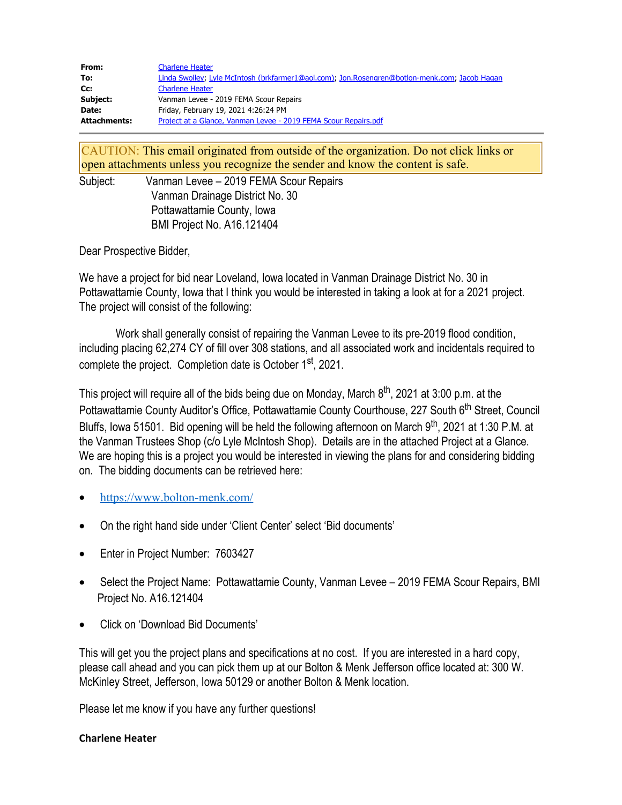| From:        | <b>Charlene Heater</b>                                                                        |
|--------------|-----------------------------------------------------------------------------------------------|
| To:          | Linda Swolley; Lyle McIntosh (brkfarmer1@aol.com); Jon.Rosengren@botlon-menk.com; Jacob Hagan |
| Cc:          | <b>Charlene Heater</b>                                                                        |
| Subject:     | Vanman Levee - 2019 FEMA Scour Repairs                                                        |
| Date:        | Friday, February 19, 2021 4:26:24 PM                                                          |
| Attachments: | Project at a Glance, Vanman Levee - 2019 FEMA Scour Repairs.pdf                               |

CAUTION: This email originated from outside of the organization. Do not click links or open attachments unless you recognize the sender and know the content is safe.

Subject: Vanman Levee – 2019 FEMA Scour Repairs Vanman Drainage District No. 30 Pottawattamie County, Iowa BMI Project No. A16.121404

Dear Prospective Bidder,

We have a project for bid near Loveland, Iowa located in Vanman Drainage District No. 30 in Pottawattamie County, Iowa that I think you would be interested in taking a look at for a 2021 project. The project will consist of the following:

Work shall generally consist of repairing the Vanman Levee to its pre-2019 flood condition, including placing 62,274 CY of fill over 308 stations, and all associated work and incidentals required to complete the project. Completion date is October 1<sup>st</sup>, 2021.

This project will require all of the bids being due on Monday, March  $8<sup>th</sup>$ , 2021 at 3:00 p.m. at the Pottawattamie County Auditor's Office, Pottawattamie County Courthouse, 227 South 6<sup>th</sup> Street, Council Bluffs, Iowa 51501. Bid opening will be held the following afternoon on March 9<sup>th</sup>, 2021 at 1:30 P.M. at the Vanman Trustees Shop (c/o Lyle McIntosh Shop). Details are in the attached Project at a Glance. We are hoping this is a project you would be interested in viewing the plans for and considering bidding on. The bidding documents can be retrieved here:

- [https://www.bolton-menk.com](https://www.bolton-menk.com/)/
- · On the right hand side under 'Client Center' select 'Bid documents'
- Enter in Project Number: 7603427
- · Select the Project Name: Pottawattamie County, Vanman Levee 2019 FEMA Scour Repairs, BMI Project No. A16.121404
- · Click on 'Download Bid Documents'

This will get you the project plans and specifications at no cost. If you are interested in a hard copy, please call ahead and you can pick them up at our Bolton & Menk Jefferson office located at: 300 W. McKinley Street, Jefferson, Iowa 50129 or another Bolton & Menk location.

Please let me know if you have any further questions!

## **Charlene Heater**